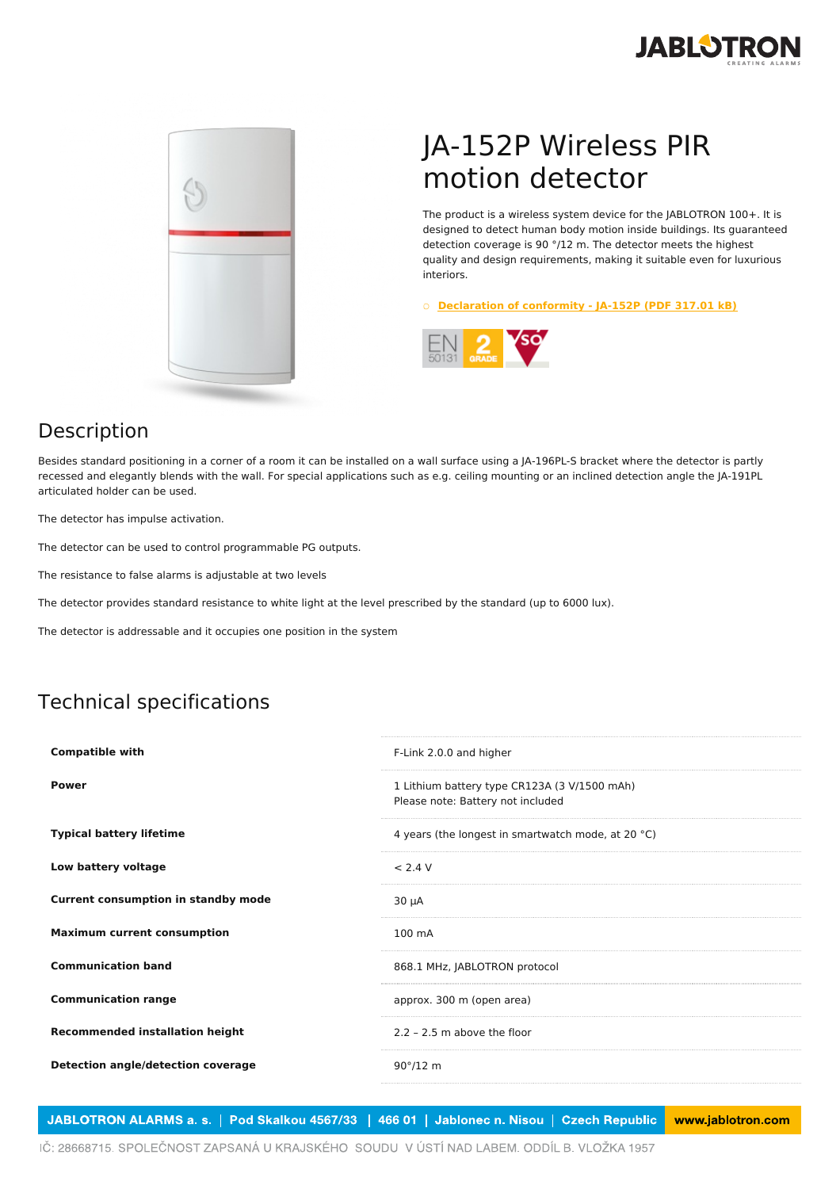



## JA-152P Wireless PIR motion detector

The product is a wireless system device for the JABLOTRON 100+. It is designed to detect human body motion inside buildings. Its guaranteed detection coverage is 90 °/12 m. The detector meets the highest quality and design requirements, making it suitable even for luxurious interiors.

○ **[Declaration](https://www.jablotron.com/en/template/product/1251/?file=0&jt_id=24691&hash=e5KerE&do=downloadCertificate) of conformity - JA-152P (PDF 317.01 kB)**



## Description

Besides standard positioning in a corner of a room it can be installed on a wall surface using a JA-196PL-S bracket where the detector is partly recessed and elegantly blends with the wall. For special applications such as e.g. ceiling mounting or an inclined detection angle the JA-191PL articulated holder can be used.

The detector has impulse activation.

The detector can be used to control programmable PG outputs.

The resistance to false alarms is adjustable at two levels

The detector provides standard resistance to white light at the level prescribed by the standard (up to 6000 lux).

The detector is addressable and it occupies one position in the system

## Technical specifications

| <b>Compatible with</b>                     | F-Link 2.0.0 and higher                                                           |
|--------------------------------------------|-----------------------------------------------------------------------------------|
| <b>Power</b>                               | 1 Lithium battery type CR123A (3 V/1500 mAh)<br>Please note: Battery not included |
| <b>Typical battery lifetime</b>            | 4 years (the longest in smartwatch mode, at 20 °C)                                |
| Low battery voltage                        | < 2.4 V                                                                           |
| <b>Current consumption in standby mode</b> | $30 \mu A$                                                                        |
| <b>Maximum current consumption</b>         | 100 mA                                                                            |
| <b>Communication band</b>                  | 868.1 MHz, JABLOTRON protocol                                                     |
| <b>Communication range</b>                 | approx. 300 m (open area)                                                         |
| <b>Recommended installation height</b>     | $2.2 - 2.5$ m above the floor                                                     |
| Detection angle/detection coverage         | $90^{\circ}/12$ m                                                                 |
|                                            |                                                                                   |

JABLOTRON ALARMS a. s. | Pod Skalkou 4567/33 | 466 01 | Jablonec n. Nisou | Czech Republic www.jablotron.com

IČ: 28668715. SPOLEČNOST ZAPSANÁ U KRAJSKÉHO SOUDU V ÚSTÍ NAD LABEM. ODDÍL B. VLOŽKA 1957